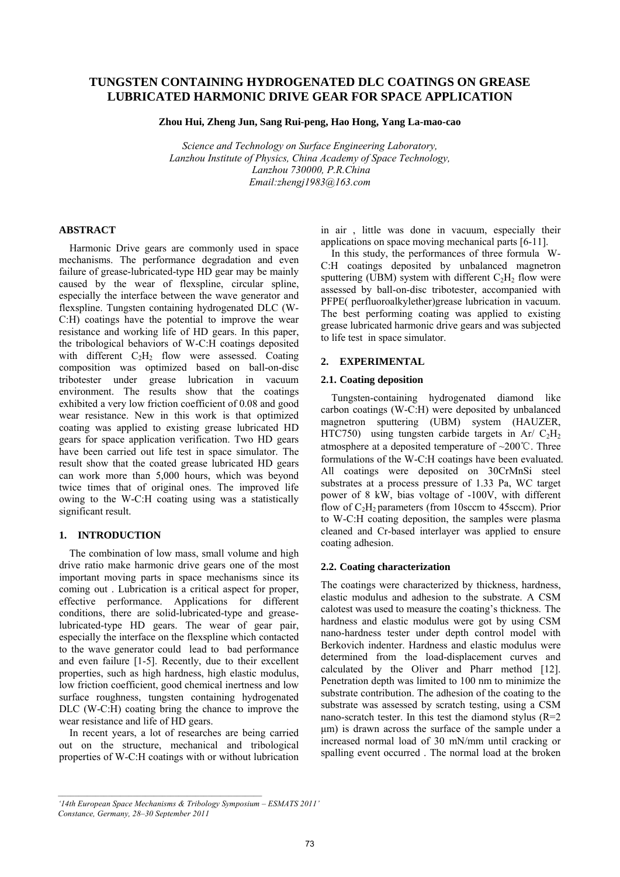# **TUNGSTEN CONTAINING HYDROGENATED DLC COATINGS ON GREASE LUBRICATED HARMONIC DRIVE GEAR FOR SPACE APPLICATION**

**Zhou Hui, Zheng Jun, Sang Rui-peng, Hao Hong, Yang La-mao-cao** 

*Science and Technology on Surface Engineering Laboratory, Lanzhou Institute of Physics, China Academy of Space Technology, Lanzhou 730000, P.R.China Email:zhengj1983@163.com* 

# **ABSTRACT**

Harmonic Drive gears are commonly used in space mechanisms. The performance degradation and even failure of grease-lubricated-type HD gear may be mainly caused by the wear of flexspline, circular spline, especially the interface between the wave generator and flexspline. Tungsten containing hydrogenated DLC (W-C:H) coatings have the potential to improve the wear resistance and working life of HD gears. In this paper, the tribological behaviors of W-C:H coatings deposited with different  $C_2H_2$  flow were assessed. Coating composition was optimized based on ball-on-disc tribotester under grease lubrication in vacuum environment. The results show that the coatings exhibited a very low friction coefficient of 0.08 and good wear resistance. New in this work is that optimized coating was applied to existing grease lubricated HD gears for space application verification. Two HD gears have been carried out life test in space simulator. The result show that the coated grease lubricated HD gears can work more than 5,000 hours, which was beyond twice times that of original ones. The improved life owing to the W-C:H coating using was a statistically significant result.

# **1. INTRODUCTION**

The combination of low mass, small volume and high drive ratio make harmonic drive gears one of the most important moving parts in space mechanisms since its coming out . Lubrication is a critical aspect for proper, effective performance. Applications for different conditions, there are solid-lubricated-type and greaselubricated-type HD gears. The wear of gear pair, especially the interface on the flexspline which contacted to the wave generator could lead to bad performance and even failure [1-5]. Recently, due to their excellent properties, such as high hardness, high elastic modulus, low friction coefficient, good chemical inertness and low surface roughness, tungsten containing hydrogenated DLC (W-C:H) coating bring the chance to improve the wear resistance and life of HD gears.

In recent years, a lot of researches are being carried out on the structure, mechanical and tribological properties of W-C:H coatings with or without lubrication in air , little was done in vacuum, especially their applications on space moving mechanical parts [6-11].

In this study, the performances of three formula W-C:H coatings deposited by unbalanced magnetron sputtering (UBM) system with different  $C_2H_2$  flow were assessed by ball-on-disc tribotester, accompanied with PFPE( perfluoroalkylether)grease lubrication in vacuum. The best performing coating was applied to existing grease lubricated harmonic drive gears and was subjected to life test in space simulator.

# **2. EXPERIMENTAL**

### **2.1. Coating deposition**

Tungsten-containing hydrogenated diamond like carbon coatings (W-C:H) were deposited by unbalanced magnetron sputtering (UBM) system (HAUZER, HTC750) using tungsten carbide targets in Ar/  $C_2H_2$ atmosphere at a deposited temperature of ~200℃. Three formulations of the W-C:H coatings have been evaluated. All coatings were deposited on 30CrMnSi steel substrates at a process pressure of 1.33 Pa, WC target power of 8 kW, bias voltage of -100V, with different flow of  $C_2H_2$  parameters (from 10sccm to 45sccm). Prior to W-C:H coating deposition, the samples were plasma cleaned and Cr-based interlayer was applied to ensure coating adhesion.

# **2.2. Coating characterization**

The coatings were characterized by thickness, hardness, elastic modulus and adhesion to the substrate. A CSM calotest was used to measure the coating's thickness. The hardness and elastic modulus were got by using CSM nano-hardness tester under depth control model with Berkovich indenter. Hardness and elastic modulus were determined from the load-displacement curves and calculated by the Oliver and Pharr method [12]. Penetration depth was limited to 100 nm to minimize the substrate contribution. The adhesion of the coating to the substrate was assessed by scratch testing, using a CSM nano-scratch tester. In this test the diamond stylus  $(R=2)$ μm) is drawn across the surface of the sample under a increased normal load of 30 mN/mm until cracking or spalling event occurred . The normal load at the broken

*<sup>&#</sup>x27;14th European Space Mechanisms & Tribology Symposium – ESMATS 2011' Constance, Germany, 28–30 September 2011*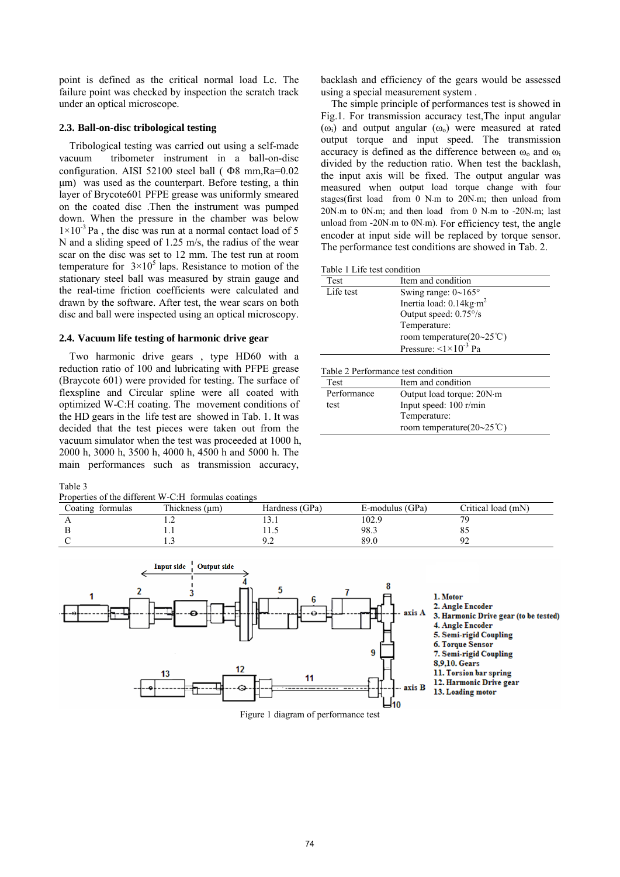point is defined as the critical normal load Lc. The failure point was checked by inspection the scratch track under an optical microscope.

# **2.3. Ball-on-disc tribological testing**

 Tribological testing was carried out using a self-made vacuum tribometer instrument in a ball-on-disc configuration. AISI 52100 steel ball ( Φ8 mm,Ra=0.02 μm) was used as the counterpart. Before testing, a thin layer of Brycote601 PFPE grease was uniformly smeared on the coated disc .Then the instrument was pumped down. When the pressure in the chamber was below  $1\times10^{-3}$  Pa, the disc was run at a normal contact load of 5 N and a sliding speed of 1.25 m/s, the radius of the wear scar on the disc was set to 12 mm. The test run at room temperature for  $3 \times 10^5$  laps. Resistance to motion of the stationary steel ball was measured by strain gauge and the real-time friction coefficients were calculated and drawn by the software. After test, the wear scars on both disc and ball were inspected using an optical microscopy.

### **2.4. Vacuum life testing of harmonic drive gear**

Two harmonic drive gears , type HD60 with a reduction ratio of 100 and lubricating with PFPE grease (Braycote 601) were provided for testing. The surface of flexspline and Circular spline were all coated with optimized W-C:H coating. The movement conditions of the HD gears in the life test are showed in Tab. 1. It was decided that the test pieces were taken out from the vacuum simulator when the test was proceeded at 1000 h, 2000 h, 3000 h, 3500 h, 4000 h, 4500 h and 5000 h. The main performances such as transmission accuracy,

#### Table 3

Properties of the different W-C:H formulas coatings

backlash and efficiency of the gears would be assessed using a special measurement system .

The simple principle of performances test is showed in Fig.1. For transmission accuracy test,The input angular ( $\omega_i$ ) and output angular ( $\omega_o$ ) were measured at rated output torque and input speed. The transmission accuracy is defined as the difference between  $\omega_0$  and  $\omega_i$ divided by the reduction ratio. When test the backlash, the input axis will be fixed. The output angular was measured when output load torque change with four stages(first load from 0 N⋅m to 20N⋅m; then unload from 20N⋅m to 0N⋅m; and then load from 0 N⋅m to -20N⋅m; last unload from -20N⋅m to 0N⋅m). For efficiency test, the angle encoder at input side will be replaced by torque sensor. The performance test conditions are showed in Tab. 2.

Table 1 Life test condition

| Test      | Item and condition                   |
|-----------|--------------------------------------|
| Life test | Swing range: $0 \sim 165^\circ$      |
|           | Inertia load: 0.14kg·m <sup>2</sup>  |
|           | Output speed: 0.75°/s                |
|           | Temperature:                         |
|           | room temperature( $20 \sim 25$ °C)   |
|           | Pressure: $\leq 1 \times 10^{-3}$ Pa |
|           |                                      |

| Test        | Item and condition                 |  |
|-------------|------------------------------------|--|
| Performance | Output load torque: 20N·m          |  |
| test        | Input speed: 100 r/min             |  |
|             | Temperature:                       |  |
|             | room temperature( $20 \sim 25$ °C) |  |

|                  | Properties of the different $w$ -C.H. formulas coatings |                |                 |                    |
|------------------|---------------------------------------------------------|----------------|-----------------|--------------------|
| Coating formulas | Thickness (µm)                                          | Hardness (GPa) | E-modulus (GPa) | Critical load (mN) |
|                  |                                                         |                | 102.9           |                    |
|                  |                                                         |                | 98.3            |                    |
|                  |                                                         |                | 89.O            |                    |



Figure 1 diagram of performance test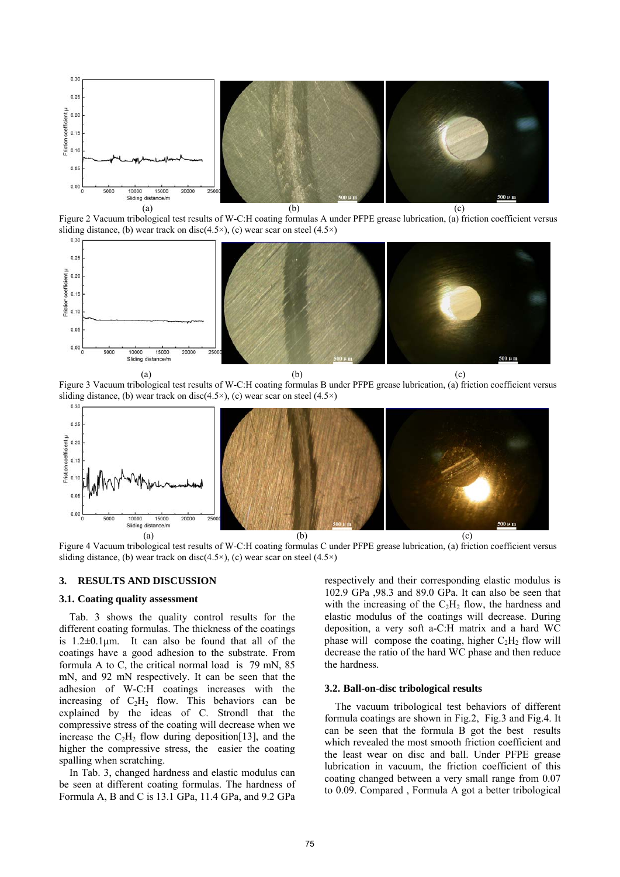

Figure 2 Vacuum tribological test results of W-C:H coating formulas A under PFPE grease lubrication, (a) friction coefficient versus sliding distance, (b) wear track on disc(4.5 $\times$ ), (c) wear scar on steel (4.5 $\times$ )



Figure 3 Vacuum tribological test results of W-C:H coating formulas B under PFPE grease lubrication, (a) friction coefficient versus sliding distance, (b) wear track on disc(4.5 $\times$ ), (c) wear scar on steel (4.5 $\times$ )



Figure 4 Vacuum tribological test results of W-C:H coating formulas C under PFPE grease lubrication, (a) friction coefficient versus sliding distance, (b) wear track on disc(4.5 $\times$ ), (c) wear scar on steel (4.5 $\times$ )

### **3. RESULTS AND DISCUSSION**

### **3.1. Coating quality assessment**

Tab. 3 shows the quality control results for the different coating formulas. The thickness of the coatings is  $1.2\pm0.1\mu$ m. It can also be found that all of the coatings have a good adhesion to the substrate. From formula A to C, the critical normal load is 79 mN, 85 mN, and 92 mN respectively. It can be seen that the adhesion of W-C:H coatings increases with the increasing of  $C_2H_2$  flow. This behaviors can be explained by the ideas of C. Strondl that the compressive stress of the coating will decrease when we increase the  $C_2H_2$  flow during deposition [13], and the higher the compressive stress, the easier the coating spalling when scratching.

In Tab. 3, changed hardness and elastic modulus can be seen at different coating formulas. The hardness of Formula A, B and C is 13.1 GPa, 11.4 GPa, and 9.2 GPa

respectively and their corresponding elastic modulus is 102.9 GPa ,98.3 and 89.0 GPa. It can also be seen that with the increasing of the  $C_2H_2$  flow, the hardness and elastic modulus of the coatings will decrease. During deposition, a very soft a-C:H matrix and a hard WC phase will compose the coating, higher  $C_2H_2$  flow will decrease the ratio of the hard WC phase and then reduce the hardness.

## **3.2. Ball-on-disc tribological results**

 The vacuum tribological test behaviors of different formula coatings are shown in Fig.2, Fig.3 and Fig.4. It can be seen that the formula B got the best results which revealed the most smooth friction coefficient and the least wear on disc and ball. Under PFPE grease lubrication in vacuum, the friction coefficient of this coating changed between a very small range from 0.07 to 0.09. Compared , Formula A got a better tribological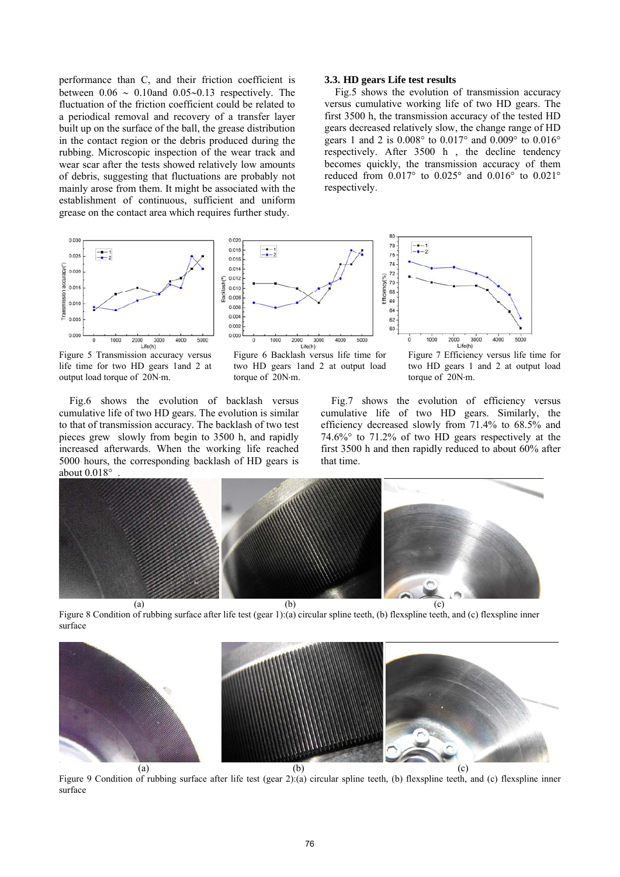performance than C, and their friction coefficient is between 0.06 ∼ 0.10and 0.05∼0.13 respectively. The fluctuation of the friction coefficient could be related to a periodical removal and recovery of a transfer layer built up on the surface of the ball, the grease distribution in the contact region or the debris produced during the rubbing. Microscopic inspection of the wear track and wear scar after the tests showed relatively low amounts of debris, suggesting that fluctuations are probably not mainly arose from them. It might be associated with the establishment of continuous, sufficient and uniform grease on the contact area which requires further study.

 $0.020$ 

 $0.011$ 

## **3.3. HD gears Life test results**

78

 $\frac{-1}{-1}$ 

Fig.5 shows the evolution of transmission accuracy versus cumulative working life of two HD gears. The first 3500 h, the transmission accuracy of the tested HD gears decreased relatively slow, the change range of HD gears 1 and 2 is 0.008° to 0.017° and 0.009° to 0.016° respectively. After 3500 h , the decline tendency becomes quickly, the transmission accuracy of them reduced from 0.017° to 0.025° and 0.016° to 0.021° respectively.



Figure 5 Transmission accuracy versus life time for two HD gears 1and 2 at output load torque of 20N⋅m.



Figure 6 Backlash versus life time for two HD gears 1and 2 at output load torque of 20N⋅m.



Fig.6 shows the evolution of backlash versus cumulative life of two HD gears. The evolution is similar to that of transmission accuracy. The backlash of two test pieces grew slowly from begin to 3500 h, and rapidly increased afterwards. When the working life reached 5000 hours, the corresponding backlash of HD gears is about  $0.018^\circ$ 

Fig.7 shows the evolution of efficiency versus cumulative life of two HD gears. Similarly, the efficiency decreased slowly from 71.4% to 68.5% and 74.6%° to 71.2% of two HD gears respectively at the first 3500 h and then rapidly reduced to about 60% after that time.



Figure 8 Condition of rubbing surface after life test (gear 1):(a) circular spline teeth, (b) flexspline teeth, and (c) flexspline inner surface



Figure 9 Condition of rubbing surface after life test (gear 2):(a) circular spline teeth, (b) flexspline teeth, and (c) flexspline inner surface